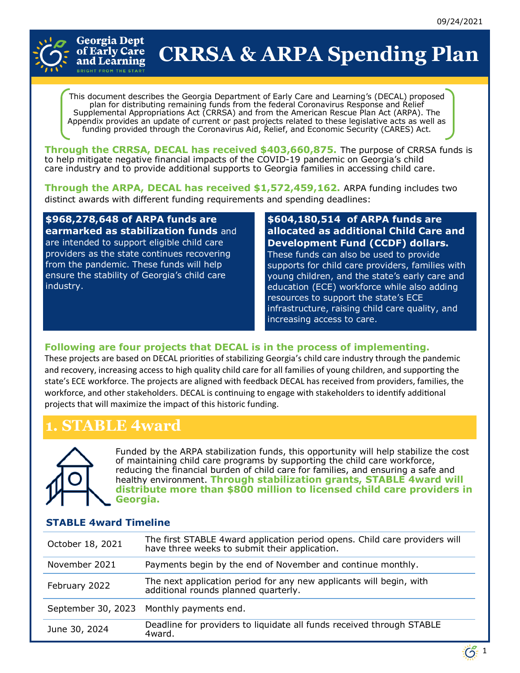

Georgia Dept of Early Care **CRRSA & ARPA Spending Plan** and Learning

This document describes the Georgia Department of Early Care and Learning's (DECAL) proposed plan for distributing remaining funds from the federal Coronavirus Response and Relief Supplemental Appropriations Act (CRRSA) and from the American Rescue Plan Act (ARPA). The Appendix provides an update of current or past projects related to these legislative acts as well as funding provided through the Coronavirus Aid, Relief, and Economic Security (CARES) Act.

**Through the CRRSA, DECAL has received \$403,660,875.** The purpose of CRRSA funds is to help mitigate negative financial impacts of the COVID-19 pandemic on Georgia's child care industry and to provide additional supports to Georgia families in accessing child care.

**Through the ARPA, DECAL has received \$1,572,459,162.** ARPA funding includes two distinct awards with different funding requirements and spending deadlines:

**\$968,278,648 of ARPA funds are earmarked as stabilization funds** and are intended to support eligible child care providers as the state continues recovering from the pandemic. These funds will help ensure the stability of Georgia's child care industry.

**\$604,180,514 of ARPA funds are allocated as additional Child Care and Development Fund (CCDF) dollars.**  These funds can also be used to provide supports for child care providers, families with young children, and the state's early care and education (ECE) workforce while also adding resources to support the state's ECE infrastructure, raising child care quality, and increasing access to care.

### **Following are four projects that DECAL is in the process of implementing.**

These projects are based on DECAL priorities of stabilizing Georgia's child care industry through the pandemic and recovery, increasing access to high quality child care for all families of young children, and supporting the state's ECE workforce. The projects are aligned with feedback DECAL has received from providers, families, the workforce, and other stakeholders. DECAL is continuing to engage with stakeholders to identify additional projects that will maximize the impact of this historic funding.

## **1. STABLE 4ward**



Funded by the ARPA stabilization funds, this opportunity will help stabilize the cost of maintaining child care programs by supporting the child care workforce, reducing the financial burden of child care for families, and ensuring a safe and healthy environment. **Through stabilization grants, STABLE 4ward will distribute more than \$800 million to licensed child care providers in Georgia.**

### **STABLE 4ward Timeline**

| October 18, 2021 | The first STABLE 4ward application period opens. Child care providers will<br>have three weeks to submit their application. |
|------------------|-----------------------------------------------------------------------------------------------------------------------------|
| November 2021    | Payments begin by the end of November and continue monthly.                                                                 |
| February 2022    | The next application period for any new applicants will begin, with<br>additional rounds planned quarterly.                 |
|                  | September 30, 2023 Monthly payments end.                                                                                    |
| June 30, 2024    | Deadline for providers to liquidate all funds received through STABLE<br>4ward.                                             |

1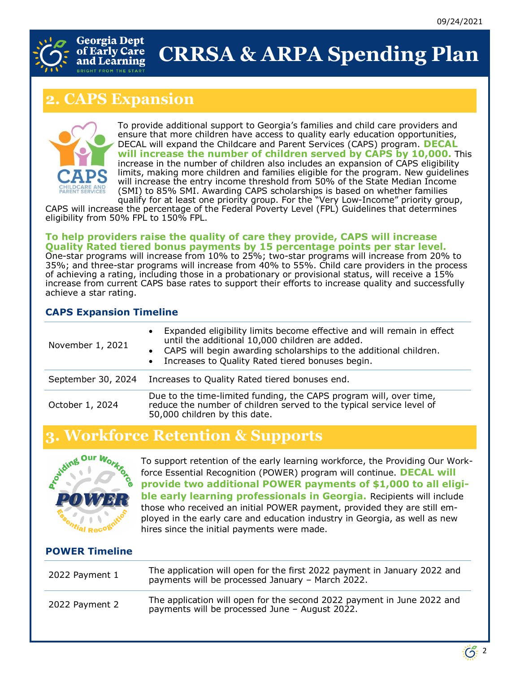

# **CRRSA & ARPA Spending Plan**

## **2. CAPS Expansion**

**Georgia Dept** of Early Care and Learning **BRIGHT FROM THE STAR** 



To provide additional support to Georgia's families and child care providers and ensure that more children have access to quality early education opportunities, DECAL will expand the Childcare and Parent Services (CAPS) program. **DECAL will increase the number of children served by CAPS by 10,000.** This increase in the number of children also includes an expansion of CAPS eligibility limits, making more children and families eligible for the program. New guidelines will increase the entry income threshold from 50% of the State Median Income (SMI) to 85% SMI. Awarding CAPS scholarships is based on whether families qualify for at least one priority group. For the "Very Low-Income" priority group,

CAPS will increase the percentage of the Federal Poverty Level (FPL) Guidelines that determines eligibility from 50% FPL to 150% FPL.

### **To help providers raise the quality of care they provide, CAPS will increase Quality Rated tiered bonus payments by 15 percentage points per star level.**

One-star programs will increase from 10% to 25%; two-star programs will increase from 20% to 35%; and three-star programs will increase from 40% to 55%. Child care providers in the process of achieving a rating, including those in a probationary or provisional status, will receive a 15% increase from current CAPS base rates to support their efforts to increase quality and successfully achieve a star rating.

### **CAPS Expansion Timeline**

| November 1, 2021   | • Expanded eligibility limits become effective and will remain in effect<br>until the additional 10,000 children are added.<br>• CAPS will begin awarding scholarships to the additional children.<br>• Increases to Quality Rated tiered bonuses begin. |
|--------------------|----------------------------------------------------------------------------------------------------------------------------------------------------------------------------------------------------------------------------------------------------------|
| September 30, 2024 | Increases to Quality Rated tiered bonuses end.                                                                                                                                                                                                           |
| October 1, 2024    | Due to the time-limited funding, the CAPS program will, over time,<br>reduce the number of children served to the typical service level of<br>50,000 children by this date.                                                                              |

## **3. Workforce Retention & Supports**



To support retention of the early learning workforce, the Providing Our Workforce Essential Recognition (POWER) program will continue. **DECAL will provide two additional POWER payments of \$1,000 to all eligible early learning professionals in Georgia.** Recipients will include those who received an initial POWER payment, provided they are still employed in the early care and education industry in Georgia, as well as new hires since the initial payments were made.

### **POWER Timeline**

| 2022 Payment 1 | The application will open for the first 2022 payment in January 2022 and<br>payments will be processed January - March 2022. |
|----------------|------------------------------------------------------------------------------------------------------------------------------|
| 2022 Payment 2 | The application will open for the second 2022 payment in June 2022 and<br>payments will be processed June - August 2022.     |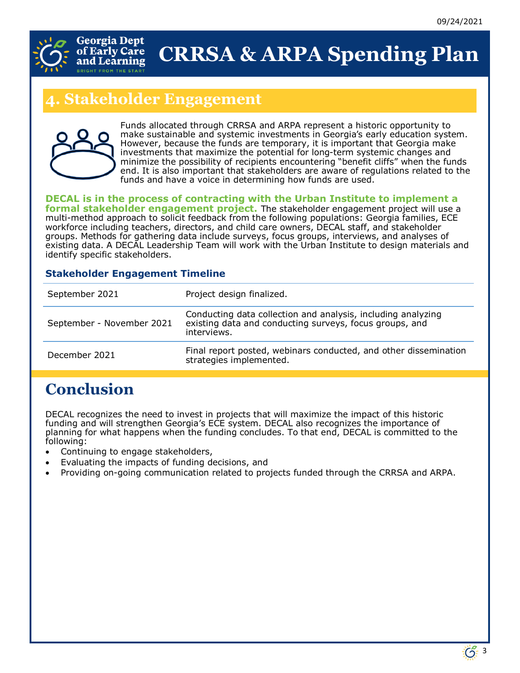

# **CRRSA & ARPA Spending Plan**

## **4. Stakeholder Engagement**



Funds allocated through CRRSA and ARPA represent a historic opportunity to make sustainable and systemic investments in Georgia's early education system. However, because the funds are temporary, it is important that Georgia make investments that maximize the potential for long-term systemic changes and minimize the possibility of recipients encountering "benefit cliffs" when the funds end. It is also important that stakeholders are aware of regulations related to the funds and have a voice in determining how funds are used.

#### **DECAL is in the process of contracting with the Urban Institute to implement a**

**formal stakeholder engagement project.** The stakeholder engagement project will use a multi-method approach to solicit feedback from the following populations: Georgia families, ECE workforce including teachers, directors, and child care owners, DECAL staff, and stakeholder groups. Methods for gathering data include surveys, focus groups, interviews, and analyses of existing data. A DECAL Leadership Team will work with the Urban Institute to design materials and identify specific stakeholders.

### **Stakeholder Engagement Timeline**

| September 2021            | Project design finalized.                                                                                                              |
|---------------------------|----------------------------------------------------------------------------------------------------------------------------------------|
| September - November 2021 | Conducting data collection and analysis, including analyzing<br>existing data and conducting surveys, focus groups, and<br>interviews. |
| December 2021             | Final report posted, webinars conducted, and other dissemination<br>strategies implemented.                                            |

## **Conclusion**

DECAL recognizes the need to invest in projects that will maximize the impact of this historic funding and will strengthen Georgia's ECE system. DECAL also recognizes the importance of planning for what happens when the funding concludes. To that end, DECAL is committed to the following:

- Continuing to engage stakeholders,
- Evaluating the impacts of funding decisions, and
- Providing on-going communication related to projects funded through the CRRSA and ARPA.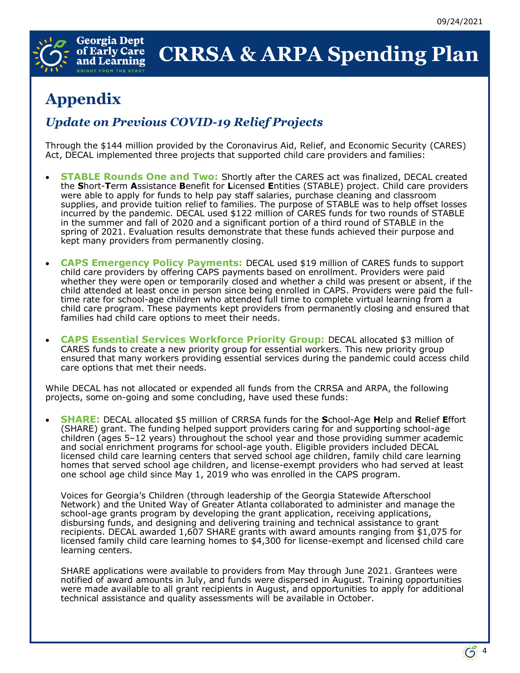

## **Appendix**

### *Update on Previous COVID-19 Relief Projects*

Through the \$144 million provided by the Coronavirus Aid, Relief, and Economic Security (CARES) Act, DECAL implemented three projects that supported child care providers and families:

- **STABLE Rounds One and Two:** Shortly after the CARES act was finalized, DECAL created the **S**hort-**T**erm **A**ssistance **B**enefit for **L**icensed **E**ntities (STABLE) project. Child care providers were able to apply for funds to help pay staff salaries, purchase cleaning and classroom supplies, and provide tuition relief to families. The purpose of STABLE was to help offset losses incurred by the pandemic. DECAL used \$122 million of CARES funds for two rounds of STABLE in the summer and fall of 2020 and a significant portion of a third round of STABLE in the spring of 2021. Evaluation results demonstrate that these funds achieved their purpose and kept many providers from permanently closing.
- **CAPS Emergency Policy Payments:** DECAL used \$19 million of CARES funds to support child care providers by offering CAPS payments based on enrollment. Providers were paid whether they were open or temporarily closed and whether a child was present or absent, if the child attended at least once in person since being enrolled in CAPS. Providers were paid the fulltime rate for school-age children who attended full time to complete virtual learning from a child care program. These payments kept providers from permanently closing and ensured that families had child care options to meet their needs.
- **CAPS Essential Services Workforce Priority Group:** DECAL allocated \$3 million of CARES funds to create a new priority group for essential workers. This new priority group ensured that many workers providing essential services during the pandemic could access child care options that met their needs.

While DECAL has not allocated or expended all funds from the CRRSA and ARPA, the following projects, some on-going and some concluding, have used these funds:

• **SHARE:** DECAL allocated \$5 million of CRRSA funds for the **S**chool-Age **H**elp and **R**elief **E**ffort (SHARE) grant. The funding helped support providers caring for and supporting school-age children (ages 5–12 years) throughout the school year and those providing summer academic and social enrichment programs for school-age youth. Eligible providers included DECAL licensed child care learning centers that served school age children, family child care learning homes that served school age children, and license-exempt providers who had served at least one school age child since May 1, 2019 who was enrolled in the CAPS program.

Voices for Georgia's Children (through leadership of the Georgia Statewide Afterschool Network) and the United Way of Greater Atlanta collaborated to administer and manage the school-age grants program by developing the grant application, receiving applications, disbursing funds, and designing and delivering training and technical assistance to grant recipients. DECAL awarded 1,607 SHARE grants with award amounts ranging from \$1,075 for licensed family child care learning homes to \$4,300 for license-exempt and licensed child care learning centers.

SHARE applications were available to providers from May through June 2021. Grantees were notified of award amounts in July, and funds were dispersed in August. Training opportunities were made available to all grant recipients in August, and opportunities to apply for additional technical assistance and quality assessments will be available in October.

4